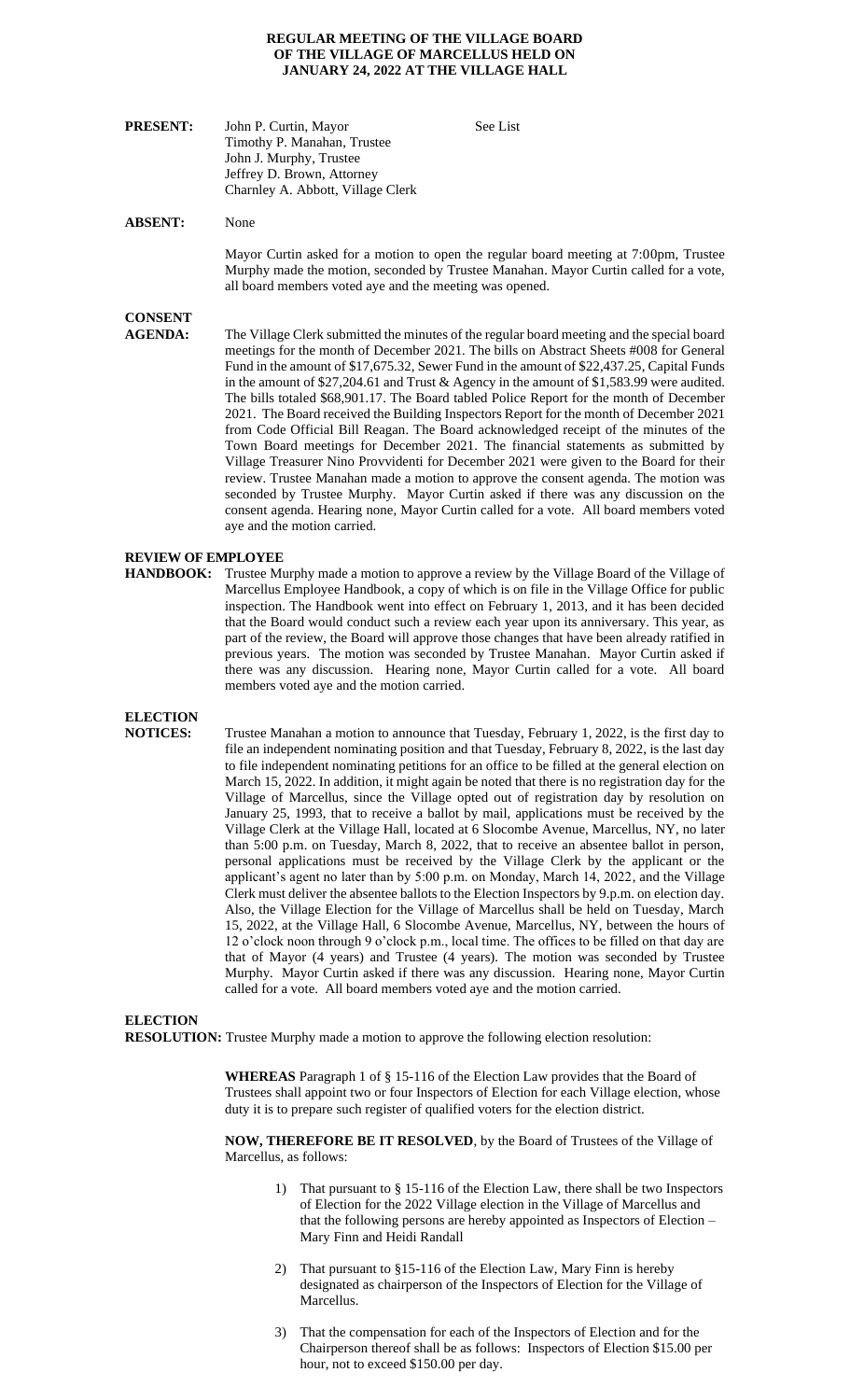#### **REGULAR MEETING OF THE VILLAGE BOARD OF THE VILLAGE OF MARCELLUS HELD ON JANUARY 24, 2022 AT THE VILLAGE HALL**

| <b>PRESENT:</b> | John P. Curtin, Mayor             | See List |
|-----------------|-----------------------------------|----------|
|                 | Timothy P. Manahan, Trustee       |          |
|                 | John J. Murphy, Trustee           |          |
|                 | Jeffrey D. Brown, Attorney        |          |
|                 | Charnley A. Abbott, Village Clerk |          |

#### **ABSENT:** None

Mayor Curtin asked for a motion to open the regular board meeting at 7:00pm, Trustee Murphy made the motion, seconded by Trustee Manahan. Mayor Curtin called for a vote, all board members voted aye and the meeting was opened.

### **CONSENT**

**AGENDA:** The Village Clerk submitted the minutes of the regular board meeting and the special board meetings for the month of December 2021. The bills on Abstract Sheets #008 for General Fund in the amount of \$17,675.32, Sewer Fund in the amount of \$22,437.25, Capital Funds in the amount of \$27,204.61 and Trust & Agency in the amount of \$1,583.99 were audited. The bills totaled \$68,901.17. The Board tabled Police Report for the month of December 2021. The Board received the Building Inspectors Report for the month of December 2021 from Code Official Bill Reagan. The Board acknowledged receipt of the minutes of the Town Board meetings for December 2021. The financial statements as submitted by Village Treasurer Nino Provvidenti for December 2021 were given to the Board for their review. Trustee Manahan made a motion to approve the consent agenda. The motion was seconded by Trustee Murphy. Mayor Curtin asked if there was any discussion on the consent agenda. Hearing none, Mayor Curtin called for a vote. All board members voted aye and the motion carried.

#### **REVIEW OF EMPLOYEE**

**HANDBOOK:** Trustee Murphy made a motion to approve a review by the Village Board of the Village of Marcellus Employee Handbook, a copy of which is on file in the Village Office for public inspection. The Handbook went into effect on February 1, 2013, and it has been decided that the Board would conduct such a review each year upon its anniversary. This year, as part of the review, the Board will approve those changes that have been already ratified in previous years. The motion was seconded by Trustee Manahan. Mayor Curtin asked if there was any discussion. Hearing none, Mayor Curtin called for a vote. All board members voted aye and the motion carried.

### **ELECTION**

**NOTICES:** Trustee Manahan a motion to announce that Tuesday, February 1, 2022, is the first day to file an independent nominating position and that Tuesday, February 8, 2022, is the last day to file independent nominating petitions for an office to be filled at the general election on March 15, 2022. In addition, it might again be noted that there is no registration day for the Village of Marcellus, since the Village opted out of registration day by resolution on January 25, 1993, that to receive a ballot by mail, applications must be received by the Village Clerk at the Village Hall, located at 6 Slocombe Avenue, Marcellus, NY, no later than 5:00 p.m. on Tuesday, March 8, 2022, that to receive an absentee ballot in person, personal applications must be received by the Village Clerk by the applicant or the applicant's agent no later than by 5:00 p.m. on Monday, March 14, 2022, and the Village Clerk must deliver the absentee ballots to the Election Inspectors by 9.p.m. on election day. Also, the Village Election for the Village of Marcellus shall be held on Tuesday, March 15, 2022, at the Village Hall, 6 Slocombe Avenue, Marcellus, NY, between the hours of 12 o'clock noon through 9 o'clock p.m., local time. The offices to be filled on that day are that of Mayor (4 years) and Trustee (4 years). The motion was seconded by Trustee Murphy. Mayor Curtin asked if there was any discussion. Hearing none, Mayor Curtin called for a vote. All board members voted aye and the motion carried.

#### **ELECTION**

**RESOLUTION:** Trustee Murphy made a motion to approve the following election resolution:

**WHEREAS** Paragraph 1 of § 15-116 of the Election Law provides that the Board of Trustees shall appoint two or four Inspectors of Election for each Village election, whose duty it is to prepare such register of qualified voters for the election district.

**NOW, THEREFORE BE IT RESOLVED**, by the Board of Trustees of the Village of Marcellus, as follows:

- 1) That pursuant to § 15-116 of the Election Law, there shall be two Inspectors of Election for the 2022 Village election in the Village of Marcellus and that the following persons are hereby appointed as Inspectors of Election – Mary Finn and Heidi Randall
- 2) That pursuant to §15-116 of the Election Law, Mary Finn is hereby designated as chairperson of the Inspectors of Election for the Village of Marcellus.
- 3) That the compensation for each of the Inspectors of Election and for the Chairperson thereof shall be as follows: Inspectors of Election \$15.00 per hour, not to exceed \$150.00 per day.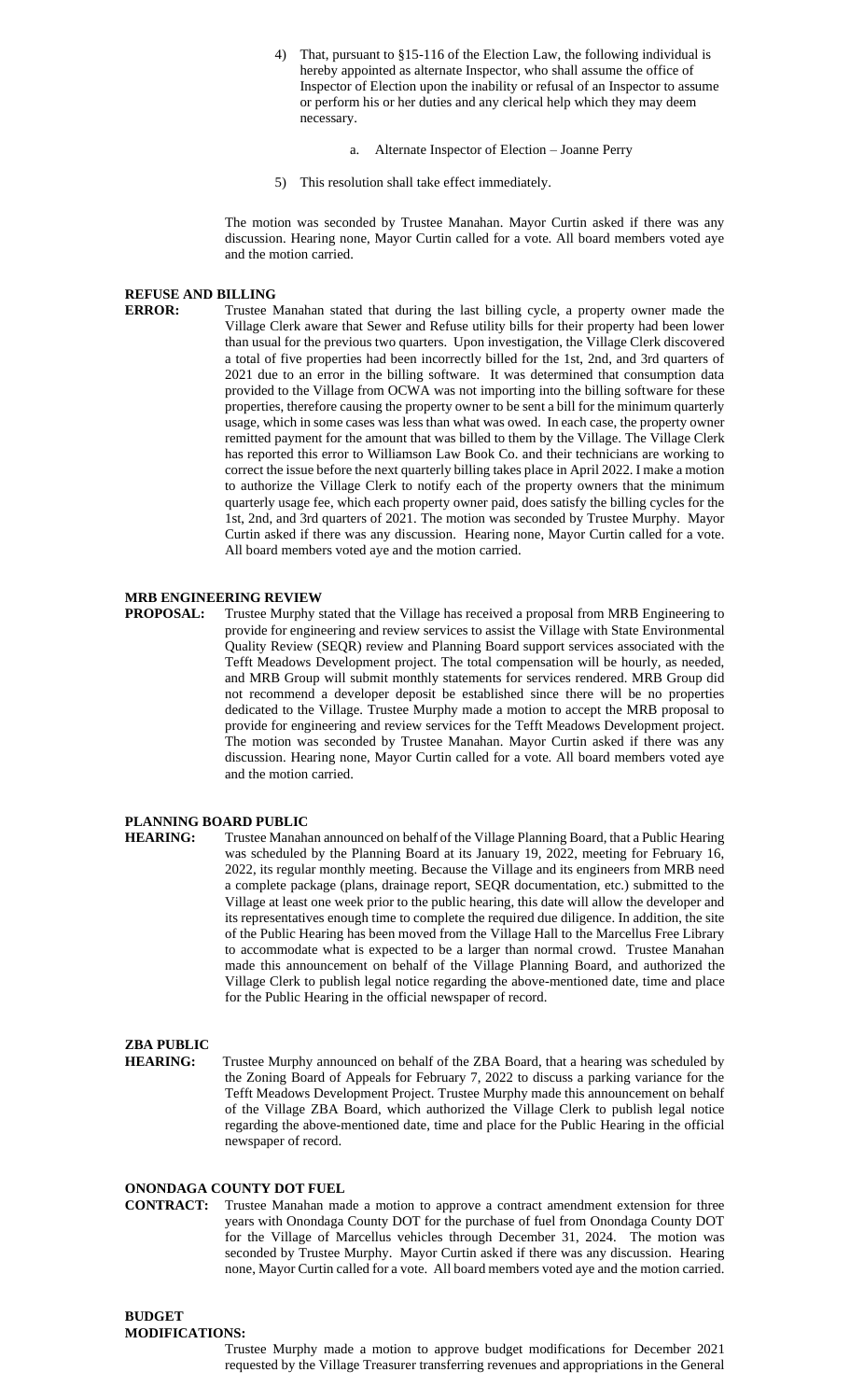- 4) That, pursuant to §15-116 of the Election Law, the following individual is hereby appointed as alternate Inspector, who shall assume the office of Inspector of Election upon the inability or refusal of an Inspector to assume or perform his or her duties and any clerical help which they may deem necessary.
	- a. Alternate Inspector of Election Joanne Perry
- 5) This resolution shall take effect immediately.

The motion was seconded by Trustee Manahan. Mayor Curtin asked if there was any discussion. Hearing none, Mayor Curtin called for a vote. All board members voted aye and the motion carried.

#### **REFUSE AND BILLING**

**ERROR:** Trustee Manahan stated that during the last billing cycle, a property owner made the Village Clerk aware that Sewer and Refuse utility bills for their property had been lower than usual for the previous two quarters. Upon investigation, the Village Clerk discovered a total of five properties had been incorrectly billed for the 1st, 2nd, and 3rd quarters of 2021 due to an error in the billing software. It was determined that consumption data provided to the Village from OCWA was not importing into the billing software for these properties, therefore causing the property owner to be sent a bill for the minimum quarterly usage, which in some cases was less than what was owed. In each case, the property owner remitted payment for the amount that was billed to them by the Village. The Village Clerk has reported this error to Williamson Law Book Co. and their technicians are working to correct the issue before the next quarterly billing takes place in April 2022. I make a motion to authorize the Village Clerk to notify each of the property owners that the minimum quarterly usage fee, which each property owner paid, does satisfy the billing cycles for the 1st, 2nd, and 3rd quarters of 2021. The motion was seconded by Trustee Murphy. Mayor Curtin asked if there was any discussion. Hearing none, Mayor Curtin called for a vote. All board members voted aye and the motion carried.

#### **MRB ENGINEERING REVIEW**

**PROPOSAL:** Trustee Murphy stated that the Village has received a proposal from MRB Engineering to provide for engineering and review services to assist the Village with State Environmental Quality Review (SEQR) review and Planning Board support services associated with the Tefft Meadows Development project. The total compensation will be hourly, as needed, and MRB Group will submit monthly statements for services rendered. MRB Group did not recommend a developer deposit be established since there will be no properties dedicated to the Village. Trustee Murphy made a motion to accept the MRB proposal to provide for engineering and review services for the Tefft Meadows Development project. The motion was seconded by Trustee Manahan. Mayor Curtin asked if there was any discussion. Hearing none, Mayor Curtin called for a vote. All board members voted aye and the motion carried.

#### **PLANNING BOARD PUBLIC**

**HEARING:** Trustee Manahan announced on behalf of the Village Planning Board, that a Public Hearing was scheduled by the Planning Board at its January 19, 2022, meeting for February 16, 2022, its regular monthly meeting. Because the Village and its engineers from MRB need a complete package (plans, drainage report, SEQR documentation, etc.) submitted to the Village at least one week prior to the public hearing, this date will allow the developer and its representatives enough time to complete the required due diligence. In addition, the site of the Public Hearing has been moved from the Village Hall to the Marcellus Free Library to accommodate what is expected to be a larger than normal crowd. Trustee Manahan made this announcement on behalf of the Village Planning Board, and authorized the Village Clerk to publish legal notice regarding the above-mentioned date, time and place for the Public Hearing in the official newspaper of record.

## **ZBA PUBLIC**

Trustee Murphy announced on behalf of the ZBA Board, that a hearing was scheduled by the Zoning Board of Appeals for February 7, 2022 to discuss a parking variance for the Tefft Meadows Development Project. Trustee Murphy made this announcement on behalf of the Village ZBA Board, which authorized the Village Clerk to publish legal notice regarding the above-mentioned date, time and place for the Public Hearing in the official

#### **ONONDAGA COUNTY DOT FUEL**

newspaper of record.

**CONTRACT:** Trustee Manahan made a motion to approve a contract amendment extension for three years with Onondaga County DOT for the purchase of fuel from Onondaga County DOT for the Village of Marcellus vehicles through December 31, 2024. The motion was seconded by Trustee Murphy. Mayor Curtin asked if there was any discussion. Hearing none, Mayor Curtin called for a vote. All board members voted aye and the motion carried.

#### **BUDGET MODIFICATIONS:**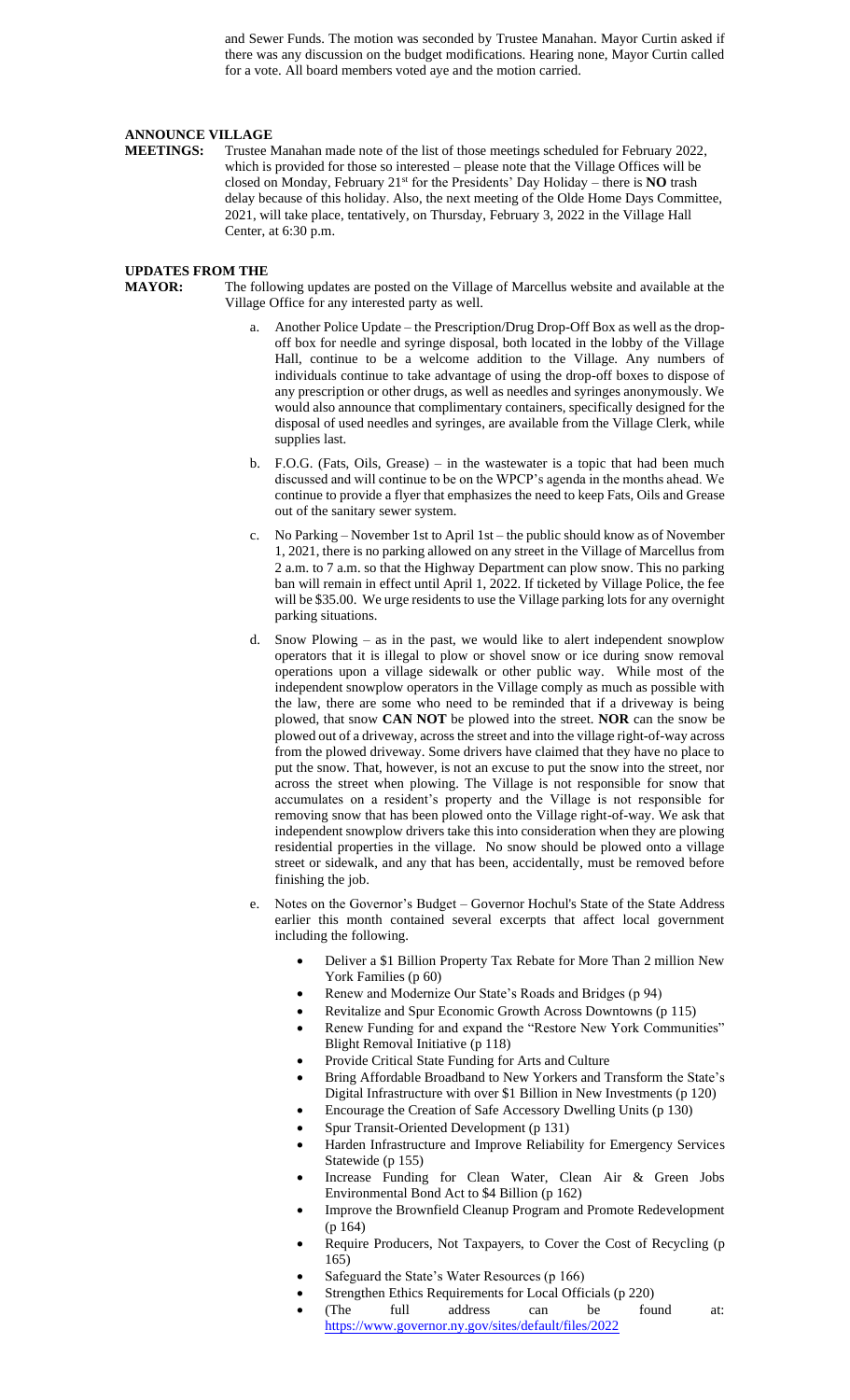and Sewer Funds. The motion was seconded by Trustee Manahan. Mayor Curtin asked if there was any discussion on the budget modifications. Hearing none, Mayor Curtin called for a vote. All board members voted aye and the motion carried.

## **ANNOUNCE VILLAGE**<br>**MEETINGS:** Trustee N

Trustee Manahan made note of the list of those meetings scheduled for February 2022, which is provided for those so interested – please note that the Village Offices will be closed on Monday, February  $21<sup>st</sup>$  for the Presidents' Day Holiday – there is **NO** trash delay because of this holiday. Also, the next meeting of the Olde Home Days Committee, 2021, will take place, tentatively, on Thursday, February 3, 2022 in the Village Hall Center, at 6:30 p.m.

#### **UPDATES FROM THE**

**MAYOR:** The following updates are posted on the Village of Marcellus website and available at the Village Office for any interested party as well.

- Another Police Update the Prescription/Drug Drop-Off Box as well as the dropoff box for needle and syringe disposal, both located in the lobby of the Village Hall, continue to be a welcome addition to the Village. Any numbers of individuals continue to take advantage of using the drop-off boxes to dispose of any prescription or other drugs, as well as needles and syringes anonymously. We would also announce that complimentary containers, specifically designed for the disposal of used needles and syringes, are available from the Village Clerk, while supplies last.
- b. F.O.G. (Fats, Oils, Grease) in the wastewater is a topic that had been much discussed and will continue to be on the WPCP's agenda in the months ahead. We continue to provide a flyer that emphasizes the need to keep Fats, Oils and Grease out of the sanitary sewer system.
- c. No Parking November 1st to April 1st the public should know as of November 1, 2021, there is no parking allowed on any street in the Village of Marcellus from 2 a.m. to 7 a.m. so that the Highway Department can plow snow. This no parking ban will remain in effect until April 1, 2022. If ticketed by Village Police, the fee will be \$35.00. We urge residents to use the Village parking lots for any overnight parking situations.
- d. Snow Plowing as in the past, we would like to alert independent snowplow operators that it is illegal to plow or shovel snow or ice during snow removal operations upon a village sidewalk or other public way. While most of the independent snowplow operators in the Village comply as much as possible with the law, there are some who need to be reminded that if a driveway is being plowed, that snow **CAN NOT** be plowed into the street. **NOR** can the snow be plowed out of a driveway, across the street and into the village right-of-way across from the plowed driveway. Some drivers have claimed that they have no place to put the snow. That, however, is not an excuse to put the snow into the street, nor across the street when plowing. The Village is not responsible for snow that accumulates on a resident's property and the Village is not responsible for removing snow that has been plowed onto the Village right-of-way. We ask that independent snowplow drivers take this into consideration when they are plowing residential properties in the village. No snow should be plowed onto a village street or sidewalk, and any that has been, accidentally, must be removed before finishing the job.
- e. Notes on the Governor's Budget Governor Hochul's State of the State Address earlier this month contained several excerpts that affect local government including the following.
	- Deliver a \$1 Billion Property Tax Rebate for More Than 2 million New York Families (p 60)
	- Renew and Modernize Our State's Roads and Bridges (p 94)
	- Revitalize and Spur Economic Growth Across Downtowns (p 115)
	- Renew Funding for and expand the "Restore New York Communities" Blight Removal Initiative (p 118)
	- Provide Critical State Funding for Arts and Culture
	- Bring Affordable Broadband to New Yorkers and Transform the State's Digital Infrastructure with over \$1 Billion in New Investments (p 120)
	- Encourage the Creation of Safe Accessory Dwelling Units (p 130)
	- Spur Transit-Oriented Development (p 131)
	- Harden Infrastructure and Improve Reliability for Emergency Services Statewide (p 155)
	- Increase Funding for Clean Water, Clean Air & Green Jobs Environmental Bond Act to \$4 Billion (p 162)
	- Improve the Brownfield Cleanup Program and Promote Redevelopment (p 164)
	- Require Producers, Not Taxpayers, to Cover the Cost of Recycling (p 165)
	- Safeguard the State's Water Resources (p 166)
	- Strengthen Ethics Requirements for Local Officials (p 220)
	- (The full address can be found at: <https://www.governor.ny.gov/sites/default/files/2022>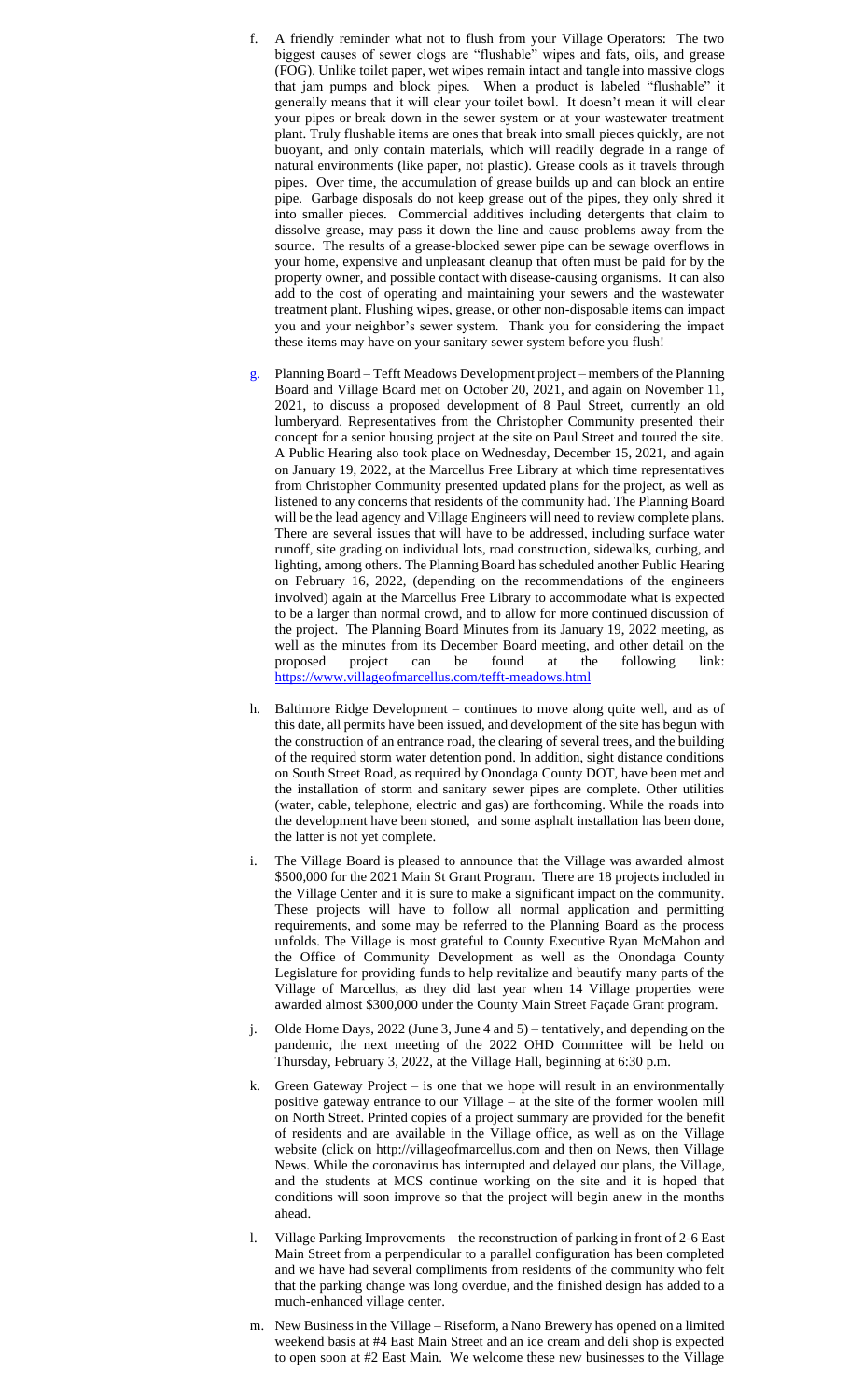- f. A friendly reminder what not to flush from your Village Operators: The two biggest causes of sewer clogs are "flushable" wipes and fats, oils, and grease (FOG). Unlike toilet paper, wet wipes remain intact and tangle into massive clogs that jam pumps and block pipes. When a product is labeled "flushable" it generally means that it will clear your toilet bowl. It doesn't mean it will clear your pipes or break down in the sewer system or at your wastewater treatment plant. Truly flushable items are ones that break into small pieces quickly, are not buoyant, and only contain materials, which will readily degrade in a range of natural environments (like paper, not plastic). Grease cools as it travels through pipes. Over time, the accumulation of grease builds up and can block an entire pipe. Garbage disposals do not keep grease out of the pipes, they only shred it into smaller pieces. Commercial additives including detergents that claim to dissolve grease, may pass it down the line and cause problems away from the source. The results of a grease-blocked sewer pipe can be sewage overflows in your home, expensive and unpleasant cleanup that often must be paid for by the property owner, and possible contact with disease-causing organisms. It can also add to the cost of operating and maintaining your sewers and the wastewater treatment plant. Flushing wipes, grease, or other non-disposable items can impact you and your neighbor's sewer system. Thank you for considering the impact these items may have on your sanitary sewer system before you flush!
- g. Planning Board Tefft Meadows Development project members of the Planning Board and Village Board met on October 20, 2021, and again on November 11, 2021, to discuss a proposed development of 8 Paul Street, currently an old lumberyard. Representatives from the Christopher Community presented their concept for a senior housing project at the site on Paul Street and toured the site. A Public Hearing also took place on Wednesday, December 15, 2021, and again on January 19, 2022, at the Marcellus Free Library at which time representatives from Christopher Community presented updated plans for the project, as well as listened to any concerns that residents of the community had. The Planning Board will be the lead agency and Village Engineers will need to review complete plans. There are several issues that will have to be addressed, including surface water runoff, site grading on individual lots, road construction, sidewalks, curbing, and lighting, among others. The Planning Board has scheduled another Public Hearing on February 16, 2022, (depending on the recommendations of the engineers involved) again at the Marcellus Free Library to accommodate what is expected to be a larger than normal crowd, and to allow for more continued discussion of the project. The Planning Board Minutes from its January 19, 2022 meeting, as well as the minutes from its December Board meeting, and other detail on the proposed project can be found at the following link: <https://www.villageofmarcellus.com/tefft-meadows.html>
- h. Baltimore Ridge Development continues to move along quite well, and as of this date, all permits have been issued, and development of the site has begun with the construction of an entrance road, the clearing of several trees, and the building of the required storm water detention pond. In addition, sight distance conditions on South Street Road, as required by Onondaga County DOT, have been met and the installation of storm and sanitary sewer pipes are complete. Other utilities (water, cable, telephone, electric and gas) are forthcoming. While the roads into the development have been stoned, and some asphalt installation has been done, the latter is not yet complete.
- i. The Village Board is pleased to announce that the Village was awarded almost \$500,000 for the 2021 Main St Grant Program. There are 18 projects included in the Village Center and it is sure to make a significant impact on the community. These projects will have to follow all normal application and permitting requirements, and some may be referred to the Planning Board as the process unfolds. The Village is most grateful to County Executive Ryan McMahon and the Office of Community Development as well as the Onondaga County Legislature for providing funds to help revitalize and beautify many parts of the Village of Marcellus, as they did last year when 14 Village properties were awarded almost \$300,000 under the County Main Street Façade Grant program.
- Olde Home Days, 2022 (June 3, June 4 and 5) tentatively, and depending on the pandemic, the next meeting of the 2022 OHD Committee will be held on Thursday, February 3, 2022, at the Village Hall, beginning at 6:30 p.m.
- k. Green Gateway Project is one that we hope will result in an environmentally positive gateway entrance to our Village – at the site of the former woolen mill on North Street. Printed copies of a project summary are provided for the benefit of residents and are available in the Village office, as well as on the Village website (click on http://villageofmarcellus.com and then on News, then Village News. While the coronavirus has interrupted and delayed our plans, the Village, and the students at MCS continue working on the site and it is hoped that conditions will soon improve so that the project will begin anew in the months ahead.
- l. Village Parking Improvements the reconstruction of parking in front of 2-6 East Main Street from a perpendicular to a parallel configuration has been completed and we have had several compliments from residents of the community who felt that the parking change was long overdue, and the finished design has added to a much-enhanced village center.
- m. New Business in the Village Riseform, a Nano Brewery has opened on a limited weekend basis at #4 East Main Street and an ice cream and deli shop is expected to open soon at #2 East Main. We welcome these new businesses to the Village